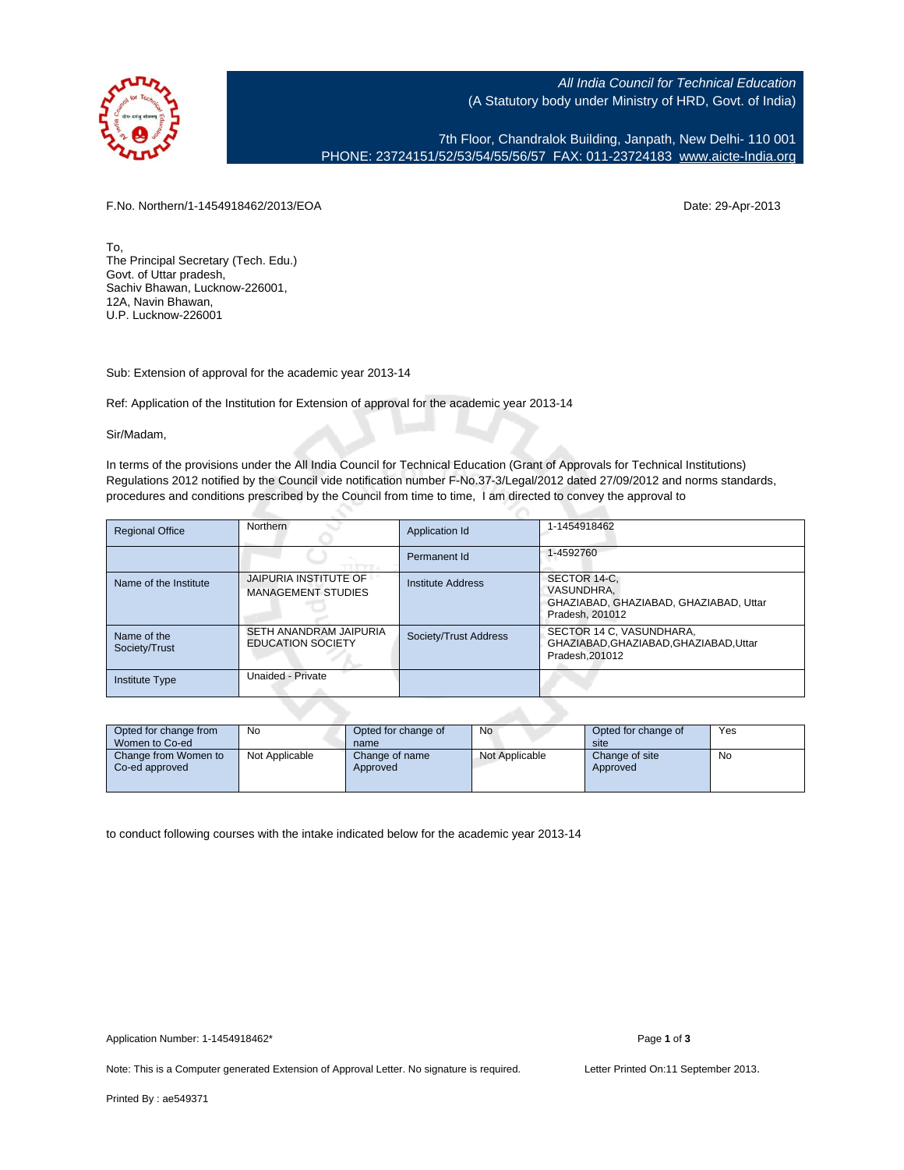

All India Council for Technical Education (A Statutory body under Ministry of HRD, Govt. of India)

7th Floor, Chandralok Building, Janpath, New Delhi- 110 001 PHONE: 23724151/52/53/54/55/56/57 FAX: 011-23724183 [www.aicte-India.org](http://www.aicte-India.org)

F.No. Northern/1-1454918462/2013/EOA Date: 29-Apr-2013

To, The Principal Secretary (Tech. Edu.) Govt. of Uttar pradesh, Sachiv Bhawan, Lucknow-226001, 12A, Navin Bhawan, U.P. Lucknow-226001

Sub: Extension of approval for the academic year 2013-14

Ref: Application of the Institution for Extension of approval for the academic year 2013-14

Sir/Madam,

In terms of the provisions under the All India Council for Technical Education (Grant of Approvals for Technical Institutions) Regulations 2012 notified by the Council vide notification number F-No.37-3/Legal/2012 dated 27/09/2012 and norms standards, procedures and conditions prescribed by the Council from time to time, I am directed to convey the approval to

| <b>Regional Office</b>       | Northern                                           | Application Id        | 1-1454918462                                                                            |
|------------------------------|----------------------------------------------------|-----------------------|-----------------------------------------------------------------------------------------|
|                              |                                                    | Permanent Id          | 1-4592760                                                                               |
| Name of the Institute        | JAIPURIA INSTITUTE OF<br><b>MANAGEMENT STUDIES</b> | Institute Address     | SECTOR 14-C.<br>VASUNDHRA.<br>GHAZIABAD, GHAZIABAD, GHAZIABAD, Uttar<br>Pradesh, 201012 |
| Name of the<br>Society/Trust | SETH ANANDRAM JAIPURIA<br><b>EDUCATION SOCIETY</b> | Society/Trust Address | SECTOR 14 C, VASUNDHARA,<br>GHAZIABAD, GHAZIABAD, GHAZIABAD, Uttar<br>Pradesh.201012    |
| <b>Institute Type</b>        | Unaided - Private                                  |                       |                                                                                         |

| Opted for change from<br>Women to Co-ed | No             | Opted for change of<br>name | No             | Opted for change of<br>site | Yes |
|-----------------------------------------|----------------|-----------------------------|----------------|-----------------------------|-----|
| Change from Women to<br>Co-ed approved  | Not Applicable | Change of name<br>Approved  | Not Applicable | Change of site<br>Approved  | No  |

to conduct following courses with the intake indicated below for the academic year 2013-14

Note: This is a Computer generated Extension of Approval Letter. No signature is required. Letter Printed On:11 September 2013.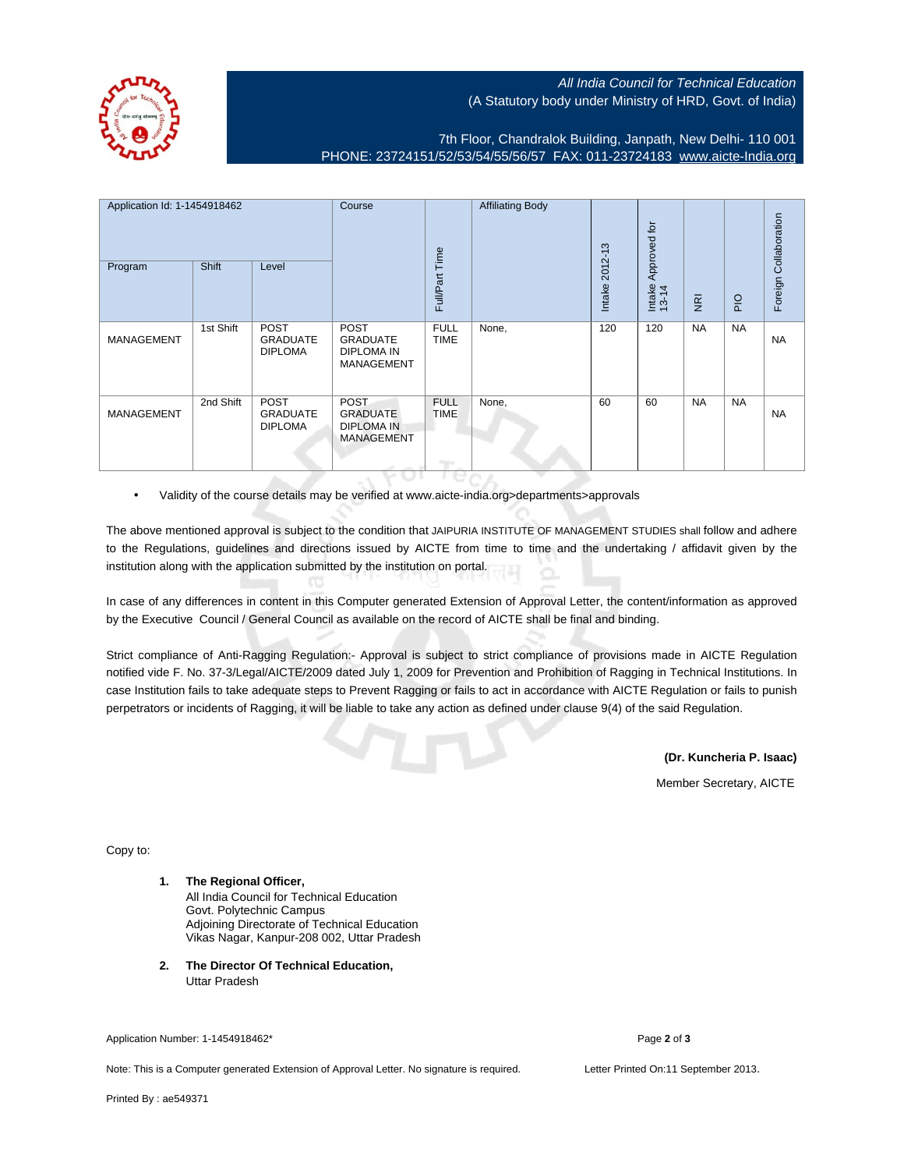## All India Council for Technical Education (A Statutory body under Ministry of HRD, Govt. of India)

7th Floor, Chandralok Building, Janpath, New Delhi- 110 001 PHONE: 23724151/52/53/54/55/56/57 FAX: 011-23724183 [www.aicte-India.org](http://www.aicte-India.org)

| Application Id: 1-1454918462<br>Program | Shift     | Level                                            | Course                                                                   | Full/Part Time                               | <b>Affiliating Body</b> | $2012 - 13$<br>Intake | Approved for<br>Intake<br>13-14 | $\overline{g}$ | $rac{1}{2}$ | Foreign Collaboration |
|-----------------------------------------|-----------|--------------------------------------------------|--------------------------------------------------------------------------|----------------------------------------------|-------------------------|-----------------------|---------------------------------|----------------|-------------|-----------------------|
| <b>MANAGEMENT</b>                       | 1st Shift | <b>POST</b><br><b>GRADUATE</b><br><b>DIPLOMA</b> | <b>POST</b><br><b>GRADUATE</b><br><b>DIPLOMA IN</b><br><b>MANAGEMENT</b> | <b>FULL</b><br><b>TIME</b>                   | None,                   | 120                   | 120                             | <b>NA</b>      | <b>NA</b>   | <b>NA</b>             |
| <b>MANAGEMENT</b>                       | 2nd Shift | POST<br><b>GRADUATE</b><br><b>DIPLOMA</b>        | <b>POST</b><br><b>GRADUATE</b><br><b>DIPLOMA IN</b><br><b>MANAGEMENT</b> | <b>FULL</b><br><b>TIME</b><br><b>Program</b> | None,                   | 60                    | 60                              | <b>NA</b>      | <b>NA</b>   | <b>NA</b>             |

• Validity of the course details may be verified at www.aicte-india.org>departments>approvals

The above mentioned approval is subject to the condition that JAIPURIA INSTITUTE OF MANAGEMENT STUDIES shall follow and adhere to the Regulations, guidelines and directions issued by AICTE from time to time and the undertaking / affidavit given by the institution along with the application submitted by the institution on portal.

In case of any differences in content in this Computer generated Extension of Approval Letter, the content/information as approved by the Executive Council / General Council as available on the record of AICTE shall be final and binding.

Strict compliance of Anti-Ragging Regulation:- Approval is subject to strict compliance of provisions made in AICTE Regulation notified vide F. No. 37-3/Legal/AICTE/2009 dated July 1, 2009 for Prevention and Prohibition of Ragging in Technical Institutions. In case Institution fails to take adequate steps to Prevent Ragging or fails to act in accordance with AICTE Regulation or fails to punish perpetrators or incidents of Ragging, it will be liable to take any action as defined under clause 9(4) of the said Regulation.

**(Dr. Kuncheria P. Isaac)**

Member Secretary, AICTE

Copy to:

- **1. The Regional Officer,** All India Council for Technical Education Govt. Polytechnic Campus Adjoining Directorate of Technical Education Vikas Nagar, Kanpur-208 002, Uttar Pradesh
- **2. The Director Of Technical Education,** Uttar Pradesh

Application Number: 1-1454918462\* Page **2** of **3**

Note: This is a Computer generated Extension of Approval Letter. No signature is required. Letter Printed On:11 September 2013.